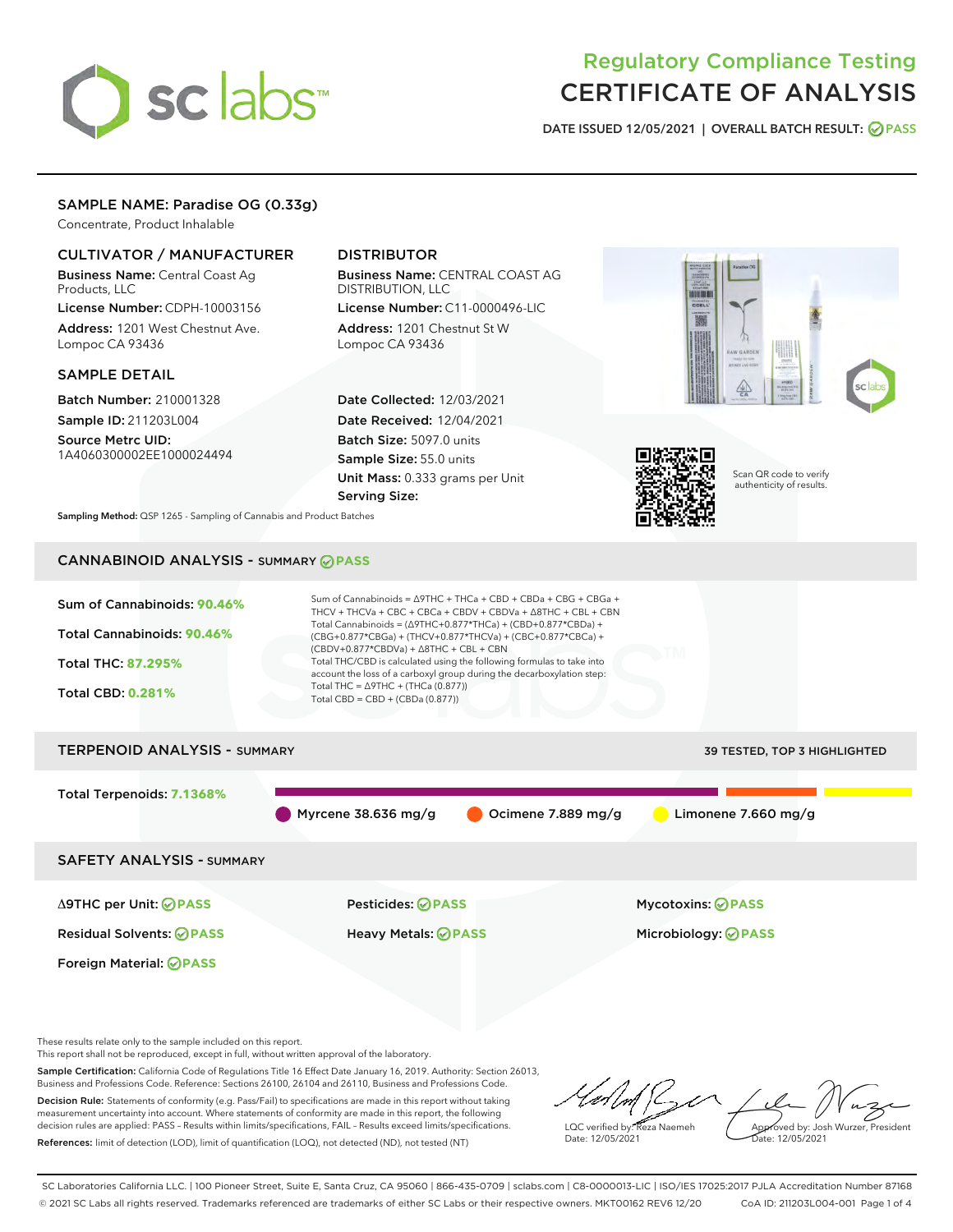# sclabs<sup>\*</sup>

# Regulatory Compliance Testing CERTIFICATE OF ANALYSIS

DATE ISSUED 12/05/2021 | OVERALL BATCH RESULT: @ PASS

# SAMPLE NAME: Paradise OG (0.33g)

Concentrate, Product Inhalable

# CULTIVATOR / MANUFACTURER

Business Name: Central Coast Ag Products, LLC

License Number: CDPH-10003156 Address: 1201 West Chestnut Ave. Lompoc CA 93436

### SAMPLE DETAIL

Batch Number: 210001328 Sample ID: 211203L004

Source Metrc UID: 1A4060300002EE1000024494

# DISTRIBUTOR

Business Name: CENTRAL COAST AG DISTRIBUTION, LLC License Number: C11-0000496-LIC

Address: 1201 Chestnut St W Lompoc CA 93436

Date Collected: 12/03/2021 Date Received: 12/04/2021 Batch Size: 5097.0 units Sample Size: 55.0 units Unit Mass: 0.333 grams per Unit Serving Size:





Scan QR code to verify authenticity of results.

Sampling Method: QSP 1265 - Sampling of Cannabis and Product Batches

# CANNABINOID ANALYSIS - SUMMARY **PASS**



Foreign Material: **PASS**

Δ9THC per Unit: **PASS** Pesticides: **PASS** Mycotoxins: **PASS**

Residual Solvents: **PASS** Heavy Metals: **PASS** Microbiology: **PASS**

These results relate only to the sample included on this report.

This report shall not be reproduced, except in full, without written approval of the laboratory.

Sample Certification: California Code of Regulations Title 16 Effect Date January 16, 2019. Authority: Section 26013, Business and Professions Code. Reference: Sections 26100, 26104 and 26110, Business and Professions Code. Decision Rule: Statements of conformity (e.g. Pass/Fail) to specifications are made in this report without taking measurement uncertainty into account. Where statements of conformity are made in this report, the following

decision rules are applied: PASS – Results within limits/specifications, FAIL – Results exceed limits/specifications. References: limit of detection (LOD), limit of quantification (LOQ), not detected (ND), not tested (NT)

LQC verified by: Reza Naemeh Date: 12/05/2021 Approved by: Josh Wurzer, President Date: 12/05/2021

SC Laboratories California LLC. | 100 Pioneer Street, Suite E, Santa Cruz, CA 95060 | 866-435-0709 | sclabs.com | C8-0000013-LIC | ISO/IES 17025:2017 PJLA Accreditation Number 87168 © 2021 SC Labs all rights reserved. Trademarks referenced are trademarks of either SC Labs or their respective owners. MKT00162 REV6 12/20 CoA ID: 211203L004-001 Page 1 of 4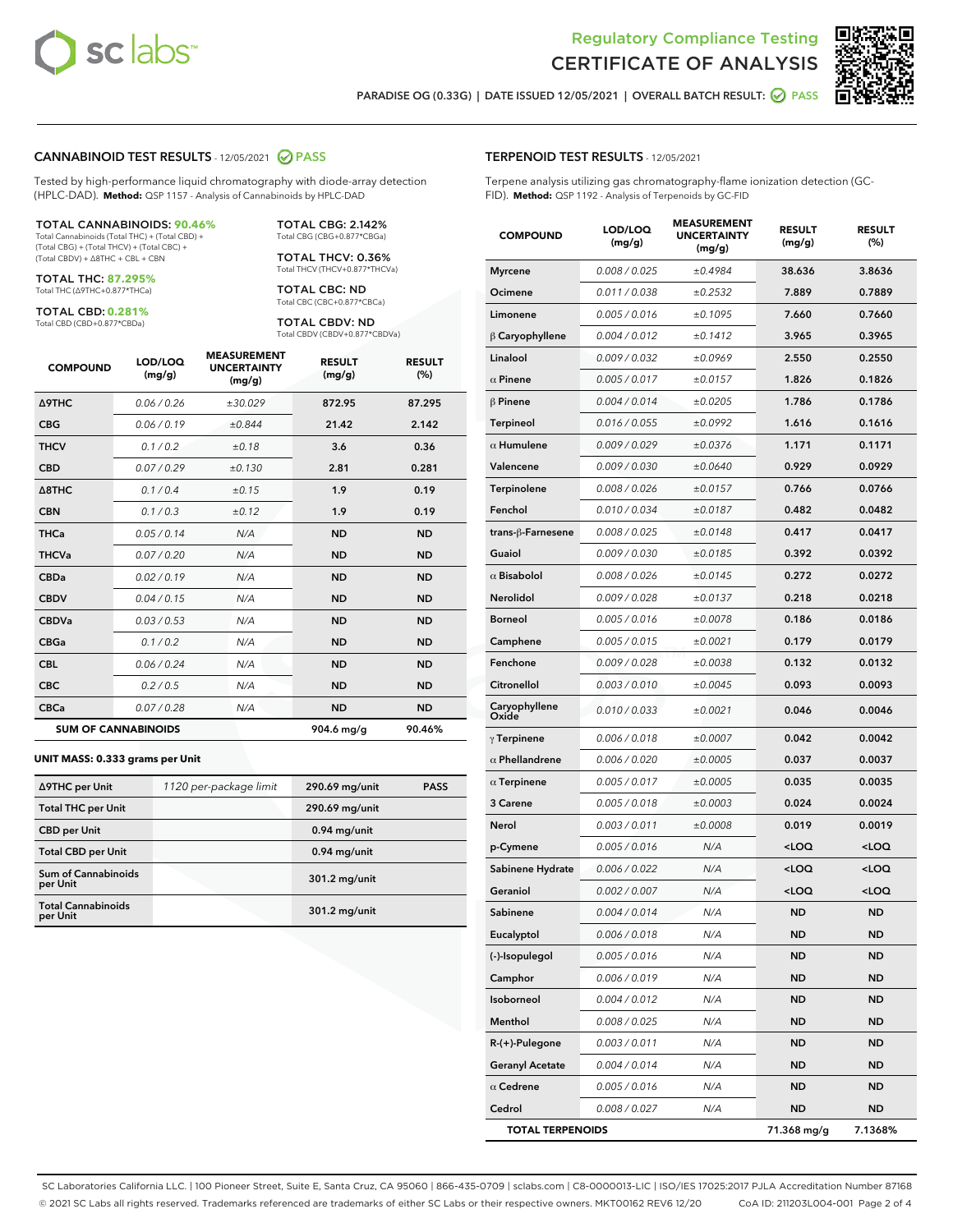



PARADISE OG (0.33G) | DATE ISSUED 12/05/2021 | OVERALL BATCH RESULT:  $\bigcirc$  PASS

#### CANNABINOID TEST RESULTS - 12/05/2021 2 PASS

Tested by high-performance liquid chromatography with diode-array detection (HPLC-DAD). **Method:** QSP 1157 - Analysis of Cannabinoids by HPLC-DAD

#### TOTAL CANNABINOIDS: **90.46%**

Total Cannabinoids (Total THC) + (Total CBD) + (Total CBG) + (Total THCV) + (Total CBC) + (Total CBDV) + ∆8THC + CBL + CBN

TOTAL THC: **87.295%** Total THC (∆9THC+0.877\*THCa)

TOTAL CBD: **0.281%**

Total CBD (CBD+0.877\*CBDa)

TOTAL CBG: 2.142% Total CBG (CBG+0.877\*CBGa)

TOTAL THCV: 0.36% Total THCV (THCV+0.877\*THCVa)

TOTAL CBC: ND Total CBC (CBC+0.877\*CBCa)

TOTAL CBDV: ND Total CBDV (CBDV+0.877\*CBDVa)

| <b>COMPOUND</b>  | LOD/LOQ<br>(mg/g)          | <b>MEASUREMENT</b><br><b>UNCERTAINTY</b><br>(mg/g) | <b>RESULT</b><br>(mg/g) | <b>RESULT</b><br>(%) |
|------------------|----------------------------|----------------------------------------------------|-------------------------|----------------------|
| <b>A9THC</b>     | 0.06/0.26                  | ±30.029                                            | 872.95                  | 87.295               |
| <b>CBG</b>       | 0.06/0.19                  | ±0.844                                             | 21.42                   | 2.142                |
| <b>THCV</b>      | 0.1 / 0.2                  | ±0.18                                              | 3.6                     | 0.36                 |
| <b>CBD</b>       | 0.07/0.29                  | ±0.130                                             | 2.81                    | 0.281                |
| $\triangle$ 8THC | 0.1 / 0.4                  | ±0.15                                              | 1.9                     | 0.19                 |
| <b>CBN</b>       | 0.1/0.3                    | ±0.12                                              | 1.9                     | 0.19                 |
| <b>THCa</b>      | 0.05/0.14                  | N/A                                                | <b>ND</b>               | <b>ND</b>            |
| <b>THCVa</b>     | 0.07/0.20                  | N/A                                                | <b>ND</b>               | <b>ND</b>            |
| <b>CBDa</b>      | 0.02/0.19                  | N/A                                                | <b>ND</b>               | <b>ND</b>            |
| <b>CBDV</b>      | 0.04/0.15                  | N/A                                                | <b>ND</b>               | <b>ND</b>            |
| <b>CBDVa</b>     | 0.03/0.53                  | N/A                                                | <b>ND</b>               | <b>ND</b>            |
| <b>CBGa</b>      | 0.1 / 0.2                  | N/A                                                | <b>ND</b>               | <b>ND</b>            |
| <b>CBL</b>       | 0.06 / 0.24                | N/A                                                | <b>ND</b>               | <b>ND</b>            |
| <b>CBC</b>       | 0.2 / 0.5                  | N/A                                                | <b>ND</b>               | <b>ND</b>            |
| <b>CBCa</b>      | 0.07/0.28                  | N/A                                                | <b>ND</b>               | <b>ND</b>            |
|                  | <b>SUM OF CANNABINOIDS</b> |                                                    | 904.6 mg/g              | 90.46%               |

#### **UNIT MASS: 0.333 grams per Unit**

| ∆9THC per Unit                         | 1120 per-package limit | 290.69 mg/unit | <b>PASS</b> |
|----------------------------------------|------------------------|----------------|-------------|
| <b>Total THC per Unit</b>              |                        | 290.69 mg/unit |             |
| <b>CBD per Unit</b>                    |                        | $0.94$ mg/unit |             |
| <b>Total CBD per Unit</b>              |                        | $0.94$ mg/unit |             |
| <b>Sum of Cannabinoids</b><br>per Unit |                        | 301.2 mg/unit  |             |
| <b>Total Cannabinoids</b><br>per Unit  |                        | 301.2 mg/unit  |             |

| <b>COMPOUND</b>         | LOD/LOQ<br>(mg/g) | <b>MEASUREMENT</b><br><b>UNCERTAINTY</b><br>(mg/g) | <b>RESULT</b><br>(mg/g)                          | <b>RESULT</b><br>(%) |
|-------------------------|-------------------|----------------------------------------------------|--------------------------------------------------|----------------------|
| <b>Myrcene</b>          | 0.008 / 0.025     | ±0.4984                                            | 38.636                                           | 3.8636               |
| Ocimene                 | 0.011 / 0.038     | ±0.2532                                            | 7.889                                            | 0.7889               |
| Limonene                | 0.005 / 0.016     | ±0.1095                                            | 7.660                                            | 0.7660               |
| $\beta$ Caryophyllene   | 0.004 / 0.012     | ±0.1412                                            | 3.965                                            | 0.3965               |
| Linalool                | 0.009 / 0.032     | ±0.0969                                            | 2.550                                            | 0.2550               |
| $\alpha$ Pinene         | 0.005 / 0.017     | ±0.0157                                            | 1.826                                            | 0.1826               |
| $\beta$ Pinene          | 0.004 / 0.014     | ±0.0205                                            | 1.786                                            | 0.1786               |
| <b>Terpineol</b>        | 0.016 / 0.055     | ±0.0992                                            | 1.616                                            | 0.1616               |
| $\alpha$ Humulene       | 0.009/0.029       | ±0.0376                                            | 1.171                                            | 0.1171               |
| Valencene               | 0.009 / 0.030     | ±0.0640                                            | 0.929                                            | 0.0929               |
| Terpinolene             | 0.008 / 0.026     | ±0.0157                                            | 0.766                                            | 0.0766               |
| Fenchol                 | 0.010/0.034       | ±0.0187                                            | 0.482                                            | 0.0482               |
| trans-ß-Farnesene       | 0.008 / 0.025     | ±0.0148                                            | 0.417                                            | 0.0417               |
| Guaiol                  | 0.009 / 0.030     | ±0.0185                                            | 0.392                                            | 0.0392               |
| $\alpha$ Bisabolol      | 0.008 / 0.026     | ±0.0145                                            | 0.272                                            | 0.0272               |
| Nerolidol               | 0.009 / 0.028     | ±0.0137                                            | 0.218                                            | 0.0218               |
| <b>Borneol</b>          | 0.005 / 0.016     | ±0.0078                                            | 0.186                                            | 0.0186               |
| Camphene                | 0.005 / 0.015     | ±0.0021                                            | 0.179                                            | 0.0179               |
| Fenchone                | 0.009 / 0.028     | ±0.0038                                            | 0.132                                            | 0.0132               |
| Citronellol             | 0.003 / 0.010     | ±0.0045                                            | 0.093                                            | 0.0093               |
| Caryophyllene<br>Oxide  | 0.010 / 0.033     | ±0.0021                                            | 0.046                                            | 0.0046               |
| $\gamma$ Terpinene      | 0.006 / 0.018     | ±0.0007                                            | 0.042                                            | 0.0042               |
| $\alpha$ Phellandrene   | 0.006 / 0.020     | ±0.0005                                            | 0.037                                            | 0.0037               |
| $\alpha$ Terpinene      | 0.005 / 0.017     | ±0.0005                                            | 0.035                                            | 0.0035               |
| 3 Carene                | 0.005 / 0.018     | ±0.0003                                            | 0.024                                            | 0.0024               |
| Nerol                   | 0.003 / 0.011     | ±0.0008                                            | 0.019                                            | 0.0019               |
| p-Cymene                | 0.005 / 0.016     | N/A                                                | <loq< th=""><th><loq< th=""></loq<></th></loq<>  | <loq< th=""></loq<>  |
| Sabinene Hydrate        | 0.006 / 0.022     | N/A                                                | <loq< th=""><th><math>&lt;</math>LOQ</th></loq<> | $<$ LOQ              |
| Geraniol                | 0.002 / 0.007     | N/A                                                | <loq< th=""><th><loq< th=""></loq<></th></loq<>  | <loq< th=""></loq<>  |
| Sabinene                | 0.004 / 0.014     | N/A                                                | <b>ND</b>                                        | <b>ND</b>            |
| Eucalyptol              | 0.006 / 0.018     | N/A                                                | ND                                               | ND                   |
| (-)-Isopulegol          | 0.005 / 0.016     | N/A                                                | ND                                               | ND                   |
| Camphor                 | 0.006 / 0.019     | N/A                                                | ND                                               | ND                   |
| Isoborneol              | 0.004 / 0.012     | N/A                                                | ND                                               | ND                   |
| Menthol                 | 0.008 / 0.025     | N/A                                                | <b>ND</b>                                        | ND                   |
| $R-(+)$ -Pulegone       | 0.003 / 0.011     | N/A                                                | ND                                               | ND                   |
| <b>Geranyl Acetate</b>  | 0.004 / 0.014     | N/A                                                | ND                                               | ND                   |
| $\alpha$ Cedrene        | 0.005 / 0.016     | N/A                                                | ND                                               | ND                   |
| Cedrol                  | 0.008 / 0.027     | N/A                                                | ND                                               | ND                   |
| <b>TOTAL TERPENOIDS</b> |                   |                                                    | 71.368 mg/g                                      | 7.1368%              |

SC Laboratories California LLC. | 100 Pioneer Street, Suite E, Santa Cruz, CA 95060 | 866-435-0709 | sclabs.com | C8-0000013-LIC | ISO/IES 17025:2017 PJLA Accreditation Number 87168 © 2021 SC Labs all rights reserved. Trademarks referenced are trademarks of either SC Labs or their respective owners. MKT00162 REV6 12/20 CoA ID: 211203L004-001 Page 2 of 4

# TERPENOID TEST RESULTS - 12/05/2021

Terpene analysis utilizing gas chromatography-flame ionization detection (GC-FID). **Method:** QSP 1192 - Analysis of Terpenoids by GC-FID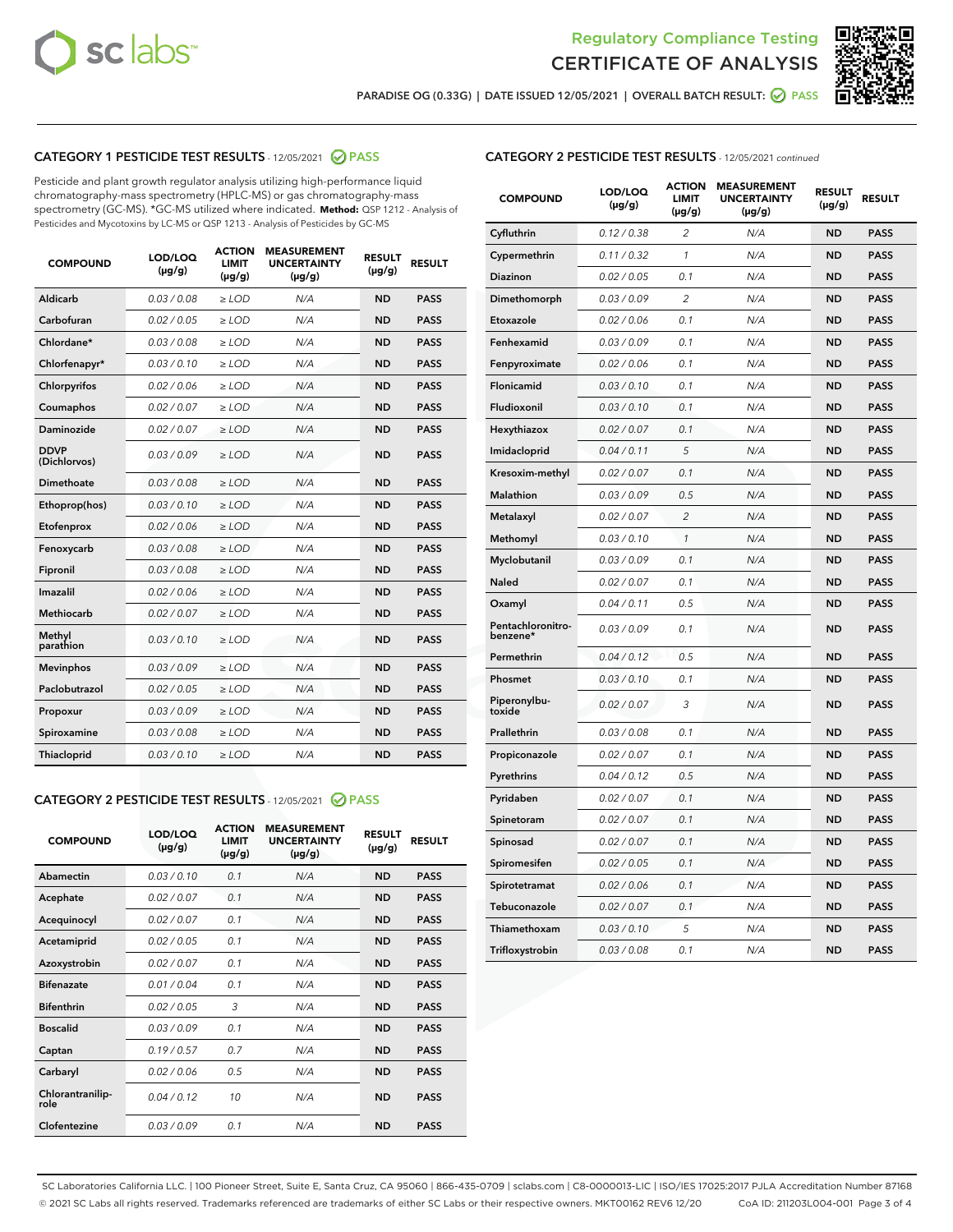



PARADISE OG (0.33G) | DATE ISSUED 12/05/2021 | OVERALL BATCH RESULT:  $\bigcirc$  PASS

# CATEGORY 1 PESTICIDE TEST RESULTS - 12/05/2021 2 PASS

Pesticide and plant growth regulator analysis utilizing high-performance liquid chromatography-mass spectrometry (HPLC-MS) or gas chromatography-mass spectrometry (GC-MS). \*GC-MS utilized where indicated. **Method:** QSP 1212 - Analysis of Pesticides and Mycotoxins by LC-MS or QSP 1213 - Analysis of Pesticides by GC-MS

| <b>COMPOUND</b>             | LOD/LOQ<br>$(\mu g/g)$ | <b>ACTION</b><br><b>LIMIT</b><br>$(\mu q/q)$ | <b>MEASUREMENT</b><br><b>UNCERTAINTY</b><br>$(\mu g/g)$ | <b>RESULT</b><br>$(\mu g/g)$ | <b>RESULT</b> |
|-----------------------------|------------------------|----------------------------------------------|---------------------------------------------------------|------------------------------|---------------|
| Aldicarb                    | 0.03 / 0.08            | $\ge$ LOD                                    | N/A                                                     | <b>ND</b>                    | <b>PASS</b>   |
| Carbofuran                  | 0.02 / 0.05            | $\ge$ LOD                                    | N/A                                                     | <b>ND</b>                    | <b>PASS</b>   |
| Chlordane*                  | 0.03 / 0.08            | $\ge$ LOD                                    | N/A                                                     | <b>ND</b>                    | <b>PASS</b>   |
| Chlorfenapyr*               | 0.03/0.10              | $\ge$ LOD                                    | N/A                                                     | <b>ND</b>                    | <b>PASS</b>   |
| Chlorpyrifos                | 0.02 / 0.06            | $\ge$ LOD                                    | N/A                                                     | <b>ND</b>                    | <b>PASS</b>   |
| Coumaphos                   | 0.02 / 0.07            | $\ge$ LOD                                    | N/A                                                     | <b>ND</b>                    | <b>PASS</b>   |
| Daminozide                  | 0.02 / 0.07            | $\ge$ LOD                                    | N/A                                                     | <b>ND</b>                    | <b>PASS</b>   |
| <b>DDVP</b><br>(Dichlorvos) | 0.03/0.09              | $>$ LOD                                      | N/A                                                     | <b>ND</b>                    | <b>PASS</b>   |
| Dimethoate                  | 0.03 / 0.08            | $\ge$ LOD                                    | N/A                                                     | <b>ND</b>                    | <b>PASS</b>   |
| Ethoprop(hos)               | 0.03/0.10              | $\ge$ LOD                                    | N/A                                                     | <b>ND</b>                    | <b>PASS</b>   |
| Etofenprox                  | 0.02/0.06              | $>$ LOD                                      | N/A                                                     | <b>ND</b>                    | <b>PASS</b>   |
| Fenoxycarb                  | 0.03 / 0.08            | $\ge$ LOD                                    | N/A                                                     | <b>ND</b>                    | <b>PASS</b>   |
| Fipronil                    | 0.03/0.08              | $>$ LOD                                      | N/A                                                     | <b>ND</b>                    | <b>PASS</b>   |
| Imazalil                    | 0.02 / 0.06            | $\ge$ LOD                                    | N/A                                                     | <b>ND</b>                    | <b>PASS</b>   |
| Methiocarb                  | 0.02 / 0.07            | $\ge$ LOD                                    | N/A                                                     | <b>ND</b>                    | <b>PASS</b>   |
| Methyl<br>parathion         | 0.03/0.10              | $>$ LOD                                      | N/A                                                     | <b>ND</b>                    | <b>PASS</b>   |
| <b>Mevinphos</b>            | 0.03/0.09              | $>$ LOD                                      | N/A                                                     | <b>ND</b>                    | <b>PASS</b>   |
| Paclobutrazol               | 0.02 / 0.05            | $\ge$ LOD                                    | N/A                                                     | <b>ND</b>                    | <b>PASS</b>   |
| Propoxur                    | 0.03 / 0.09            | $\ge$ LOD                                    | N/A                                                     | <b>ND</b>                    | <b>PASS</b>   |
| Spiroxamine                 | 0.03 / 0.08            | $\ge$ LOD                                    | N/A                                                     | <b>ND</b>                    | <b>PASS</b>   |
| Thiacloprid                 | 0.03/0.10              | $\ge$ LOD                                    | N/A                                                     | <b>ND</b>                    | <b>PASS</b>   |

#### CATEGORY 2 PESTICIDE TEST RESULTS - 12/05/2021 @ PASS

| <b>COMPOUND</b>          | LOD/LOO<br>$(\mu g/g)$ | <b>ACTION</b><br>LIMIT<br>$(\mu g/g)$ | <b>MEASUREMENT</b><br><b>UNCERTAINTY</b><br>$(\mu g/g)$ | <b>RESULT</b><br>$(\mu g/g)$ | <b>RESULT</b> |
|--------------------------|------------------------|---------------------------------------|---------------------------------------------------------|------------------------------|---------------|
| Abamectin                | 0.03/0.10              | 0.1                                   | N/A                                                     | <b>ND</b>                    | <b>PASS</b>   |
| Acephate                 | 0.02/0.07              | 0.1                                   | N/A                                                     | <b>ND</b>                    | <b>PASS</b>   |
| Acequinocyl              | 0.02/0.07              | 0.1                                   | N/A                                                     | <b>ND</b>                    | <b>PASS</b>   |
| Acetamiprid              | 0.02/0.05              | 0.1                                   | N/A                                                     | <b>ND</b>                    | <b>PASS</b>   |
| Azoxystrobin             | 0.02/0.07              | 0.1                                   | N/A                                                     | <b>ND</b>                    | <b>PASS</b>   |
| <b>Bifenazate</b>        | 0.01/0.04              | 0.1                                   | N/A                                                     | <b>ND</b>                    | <b>PASS</b>   |
| <b>Bifenthrin</b>        | 0.02/0.05              | 3                                     | N/A                                                     | <b>ND</b>                    | <b>PASS</b>   |
| <b>Boscalid</b>          | 0.03/0.09              | 0.1                                   | N/A                                                     | <b>ND</b>                    | <b>PASS</b>   |
| Captan                   | 0.19/0.57              | 0.7                                   | N/A                                                     | <b>ND</b>                    | <b>PASS</b>   |
| Carbaryl                 | 0.02/0.06              | 0.5                                   | N/A                                                     | <b>ND</b>                    | <b>PASS</b>   |
| Chlorantranilip-<br>role | 0.04/0.12              | 10                                    | N/A                                                     | <b>ND</b>                    | <b>PASS</b>   |
| Clofentezine             | 0.03/0.09              | 0.1                                   | N/A                                                     | <b>ND</b>                    | <b>PASS</b>   |

## CATEGORY 2 PESTICIDE TEST RESULTS - 12/05/2021 continued

| <b>COMPOUND</b>               | LOD/LOQ<br>(µg/g) | <b>ACTION</b><br><b>LIMIT</b><br>$(\mu g/g)$ | <b>MEASUREMENT</b><br><b>UNCERTAINTY</b><br>$(\mu g/g)$ | <b>RESULT</b><br>(µg/g) | <b>RESULT</b> |
|-------------------------------|-------------------|----------------------------------------------|---------------------------------------------------------|-------------------------|---------------|
| Cyfluthrin                    | 0.12 / 0.38       | $\overline{c}$                               | N/A                                                     | <b>ND</b>               | <b>PASS</b>   |
| Cypermethrin                  | 0.11 / 0.32       | 1                                            | N/A                                                     | ND                      | <b>PASS</b>   |
| Diazinon                      | 0.02 / 0.05       | 0.1                                          | N/A                                                     | ND                      | <b>PASS</b>   |
| Dimethomorph                  | 0.03 / 0.09       | 2                                            | N/A                                                     | ND                      | <b>PASS</b>   |
| Etoxazole                     | 0.02 / 0.06       | 0.1                                          | N/A                                                     | <b>ND</b>               | <b>PASS</b>   |
| Fenhexamid                    | 0.03 / 0.09       | 0.1                                          | N/A                                                     | <b>ND</b>               | <b>PASS</b>   |
| Fenpyroximate                 | 0.02 / 0.06       | 0.1                                          | N/A                                                     | ND                      | <b>PASS</b>   |
| Flonicamid                    | 0.03 / 0.10       | 0.1                                          | N/A                                                     | ND                      | <b>PASS</b>   |
| Fludioxonil                   | 0.03 / 0.10       | 0.1                                          | N/A                                                     | <b>ND</b>               | <b>PASS</b>   |
| Hexythiazox                   | 0.02 / 0.07       | 0.1                                          | N/A                                                     | ND                      | <b>PASS</b>   |
| Imidacloprid                  | 0.04 / 0.11       | 5                                            | N/A                                                     | ND                      | <b>PASS</b>   |
| Kresoxim-methyl               | 0.02 / 0.07       | 0.1                                          | N/A                                                     | <b>ND</b>               | <b>PASS</b>   |
| <b>Malathion</b>              | 0.03 / 0.09       | 0.5                                          | N/A                                                     | ND                      | <b>PASS</b>   |
| Metalaxyl                     | 0.02 / 0.07       | $\overline{c}$                               | N/A                                                     | ND                      | <b>PASS</b>   |
| Methomyl                      | 0.03 / 0.10       | 1                                            | N/A                                                     | <b>ND</b>               | <b>PASS</b>   |
| Myclobutanil                  | 0.03 / 0.09       | 0.1                                          | N/A                                                     | ND                      | <b>PASS</b>   |
| Naled                         | 0.02 / 0.07       | 0.1                                          | N/A                                                     | ND                      | <b>PASS</b>   |
| Oxamyl                        | 0.04 / 0.11       | 0.5                                          | N/A                                                     | ND                      | <b>PASS</b>   |
| Pentachloronitro-<br>benzene* | 0.03 / 0.09       | 0.1                                          | N/A                                                     | ND                      | <b>PASS</b>   |
| Permethrin                    | 0.04 / 0.12       | 0.5                                          | N/A                                                     | <b>ND</b>               | <b>PASS</b>   |
| Phosmet                       | 0.03 / 0.10       | 0.1                                          | N/A                                                     | <b>ND</b>               | <b>PASS</b>   |
| Piperonylbu-<br>toxide        | 0.02 / 0.07       | 3                                            | N/A                                                     | ND                      | <b>PASS</b>   |
| Prallethrin                   | 0.03 / 0.08       | 0.1                                          | N/A                                                     | <b>ND</b>               | <b>PASS</b>   |
| Propiconazole                 | 0.02 / 0.07       | 0.1                                          | N/A                                                     | ND                      | <b>PASS</b>   |
| Pyrethrins                    | 0.04 / 0.12       | 0.5                                          | N/A                                                     | ND                      | <b>PASS</b>   |
| Pyridaben                     | 0.02 / 0.07       | 0.1                                          | N/A                                                     | ND                      | <b>PASS</b>   |
| Spinetoram                    | 0.02 / 0.07       | 0.1                                          | N/A                                                     | ND                      | <b>PASS</b>   |
| Spinosad                      | 0.02 / 0.07       | 0.1                                          | N/A                                                     | ND                      | <b>PASS</b>   |
| Spiromesifen                  | 0.02 / 0.05       | 0.1                                          | N/A                                                     | <b>ND</b>               | <b>PASS</b>   |
| Spirotetramat                 | 0.02 / 0.06       | 0.1                                          | N/A                                                     | ND                      | <b>PASS</b>   |
| Tebuconazole                  | 0.02 / 0.07       | 0.1                                          | N/A                                                     | ND                      | <b>PASS</b>   |
| Thiamethoxam                  | 0.03 / 0.10       | 5                                            | N/A                                                     | <b>ND</b>               | <b>PASS</b>   |
| Trifloxystrobin               | 0.03 / 0.08       | 0.1                                          | N/A                                                     | <b>ND</b>               | <b>PASS</b>   |

SC Laboratories California LLC. | 100 Pioneer Street, Suite E, Santa Cruz, CA 95060 | 866-435-0709 | sclabs.com | C8-0000013-LIC | ISO/IES 17025:2017 PJLA Accreditation Number 87168 © 2021 SC Labs all rights reserved. Trademarks referenced are trademarks of either SC Labs or their respective owners. MKT00162 REV6 12/20 CoA ID: 211203L004-001 Page 3 of 4